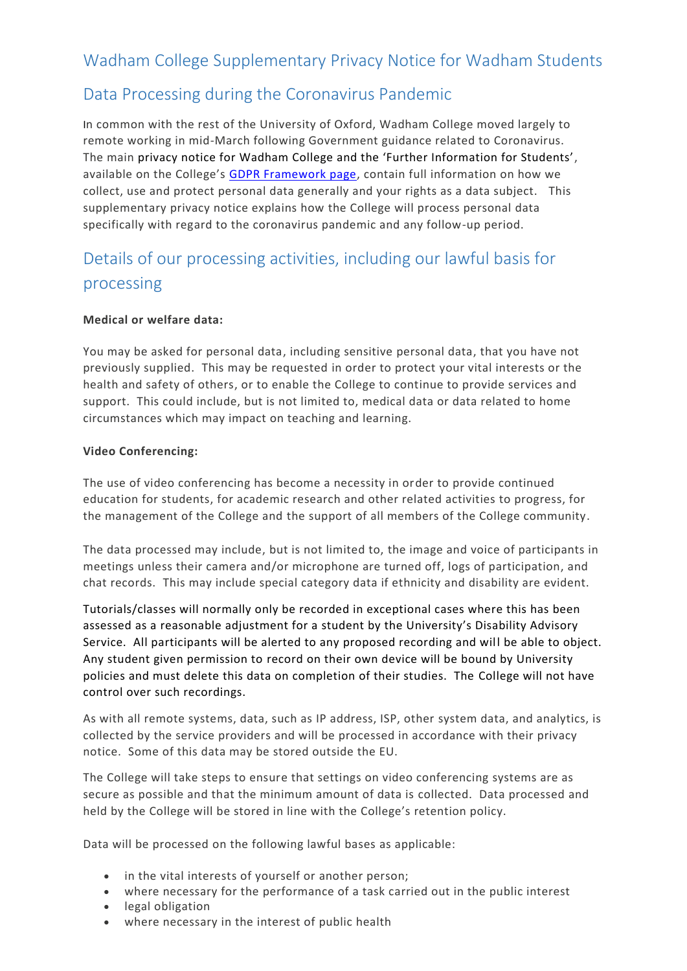# Wadham College Supplementary Privacy Notice for Wadham Students

## Data Processing during the Coronavirus Pandemic

In common with the rest of the University of Oxford, Wadham College moved largely to remote working in mid-March following Government guidance related to Coronavirus. The main privacy notice for Wadham College and the 'Further Information for Students', available on the College's [GDPR Framework page,](https://www.wadham.ox.ac.uk/governance/wadham-college-gdpr-framework) contain full information on how we collect, use and protect personal data generally and your rights as a data subject. This supplementary privacy notice explains how the College will process personal data specifically with regard to the coronavirus pandemic and any follow-up period.

# Details of our processing activities, including our lawful basis for processing

#### **Medical or welfare data:**

You may be asked for personal data, including sensitive personal data, that you have not previously supplied. This may be requested in order to protect your vital interests or the health and safety of others, or to enable the College to continue to provide services and support. This could include, but is not limited to, medical data or data related to home circumstances which may impact on teaching and learning.

#### **Video Conferencing:**

The use of video conferencing has become a necessity in order to provide continued education for students, for academic research and other related activities to progress, for the management of the College and the support of all members of the College community.

The data processed may include, but is not limited to, the image and voice of participants in meetings unless their camera and/or microphone are turned off, logs of participation, and chat records. This may include special category data if ethnicity and disability are evident.

Tutorials/classes will normally only be recorded in exceptional cases where this has been assessed as a reasonable adjustment for a student by the University's Disability Advisory Service. All participants will be alerted to any proposed recording and will be able to object. Any student given permission to record on their own device will be bound by University policies and must delete this data on completion of their studies. The College will not have control over such recordings.

As with all remote systems, data, such as IP address, ISP, other system data, and analytics, is collected by the service providers and will be processed in accordance with their privacy notice. Some of this data may be stored outside the EU.

The College will take steps to ensure that settings on video conferencing systems are as secure as possible and that the minimum amount of data is collected. Data processed and held by the College will be stored in line with the College's retention policy.

Data will be processed on the following lawful bases as applicable:

- in the vital interests of yourself or another person;
- where necessary for the performance of a task carried out in the public interest
- **•** legal obligation
- where necessary in the interest of public health